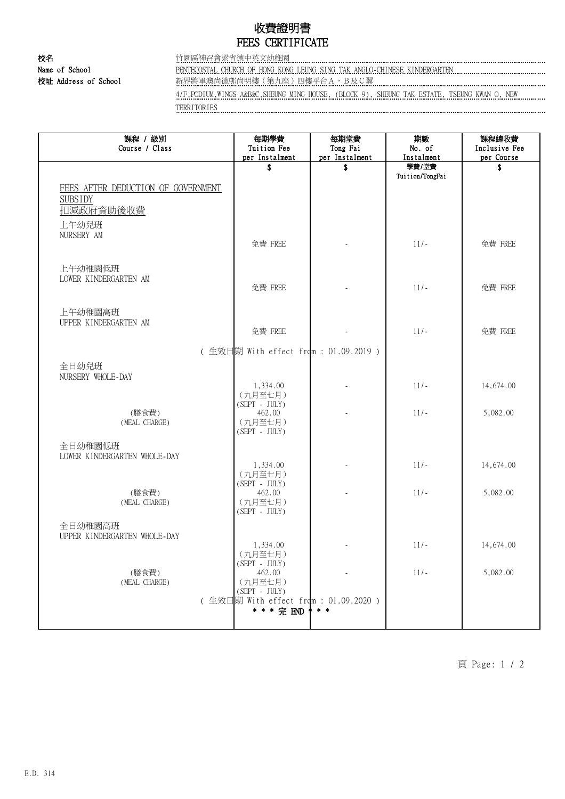## 收費證明書 FEES CERTIFICATE

校名 竹園區神召會梁省德中英文幼稚園 Name of School PENTECOSTAL CHURCH OF HONG KONG LEUNG SING TAK ANGLO-CHINESE KINDERGARTEN

校址 Address of School **with the School 和**界將軍澳尚德邨尚明樓(第九座)四樓平台A, B及C翼

4/F,PODIUM,WINGS A&B&C,SHEUNG MING HOUSE, (BLOCK 9), SHEUNG TAK ESTATE, TSEUNG KWAN O, NEW TERRITORIES

| 課程 / 級別<br>Course / Class                                         | 每期學費<br>Tuition Fee<br>per Instalment                                                                       | 每期堂費<br>Tong Fai<br>per Instalment | 期數<br>No. of<br>Instalment | 課程總收費<br>Inclusive Fee<br>per Course |
|-------------------------------------------------------------------|-------------------------------------------------------------------------------------------------------------|------------------------------------|----------------------------|--------------------------------------|
|                                                                   | \$                                                                                                          | \$                                 | 學費/堂費                      | S                                    |
| FEES AFTER DEDUCTION OF GOVERNMENT<br><b>SUBSIDY</b><br>扣減政府資助後收費 |                                                                                                             |                                    | Tuition/TongFai            |                                      |
| 上午幼兒班<br>NURSERY AM                                               | 免費 FREE                                                                                                     |                                    | $11/-$                     | 免費 FREE                              |
| 上午幼稚園低班<br>LOWER KINDERGARTEN AM                                  | 免費 FREE                                                                                                     |                                    | $11/-$                     | 免費 FREE                              |
| 上午幼稚園高班<br>UPPER KINDERGARTEN AM                                  | 免費 FREE                                                                                                     |                                    | $11/-$                     | 免費 FREE                              |
|                                                                   | (生效日期 With effect from : 01.09.2019)                                                                        |                                    |                            |                                      |
| 全日幼兒班<br>NURSERY WHOLE-DAY                                        | 1,334.00<br>(九月至七月)                                                                                         |                                    | $11/-$                     | 14,674.00                            |
| (膳食費)<br>(MEAL CHARGE)                                            | $(SEPT - JULY)$<br>462.00<br>(九月至七月)<br>$(SEPT - JULY)$                                                     |                                    | $11/-$                     | 5,082.00                             |
| 全日幼稚園低班<br>LOWER KINDERGARTEN WHOLE-DAY                           | 1,334.00<br>(九月至七月)                                                                                         |                                    | $11/-$                     | 14,674.00                            |
| (膳食費)<br>(MEAL CHARGE)                                            | $(SEPT - JULY)$<br>462.00<br>(九月至七月)<br>$(SEPT - JULY)$                                                     |                                    | $11/-$                     | 5,082.00                             |
| 全日幼稚園高班<br>UPPER KINDERGARTEN WHOLE-DAY                           | 1,334.00                                                                                                    |                                    | $11/-$                     | 14,674.00                            |
| (膳食費)<br>(MEAL CHARGE)                                            | (九月至七月)<br>$(SEPT - JULY)$<br>462.00<br>(九月至七月)<br>$(SEPT - JULY)$<br>(生效日期 With effect from : 01.09.2020 ) |                                    | $11/-$                     | 5,082.00                             |

頁 Page: 1 / 2